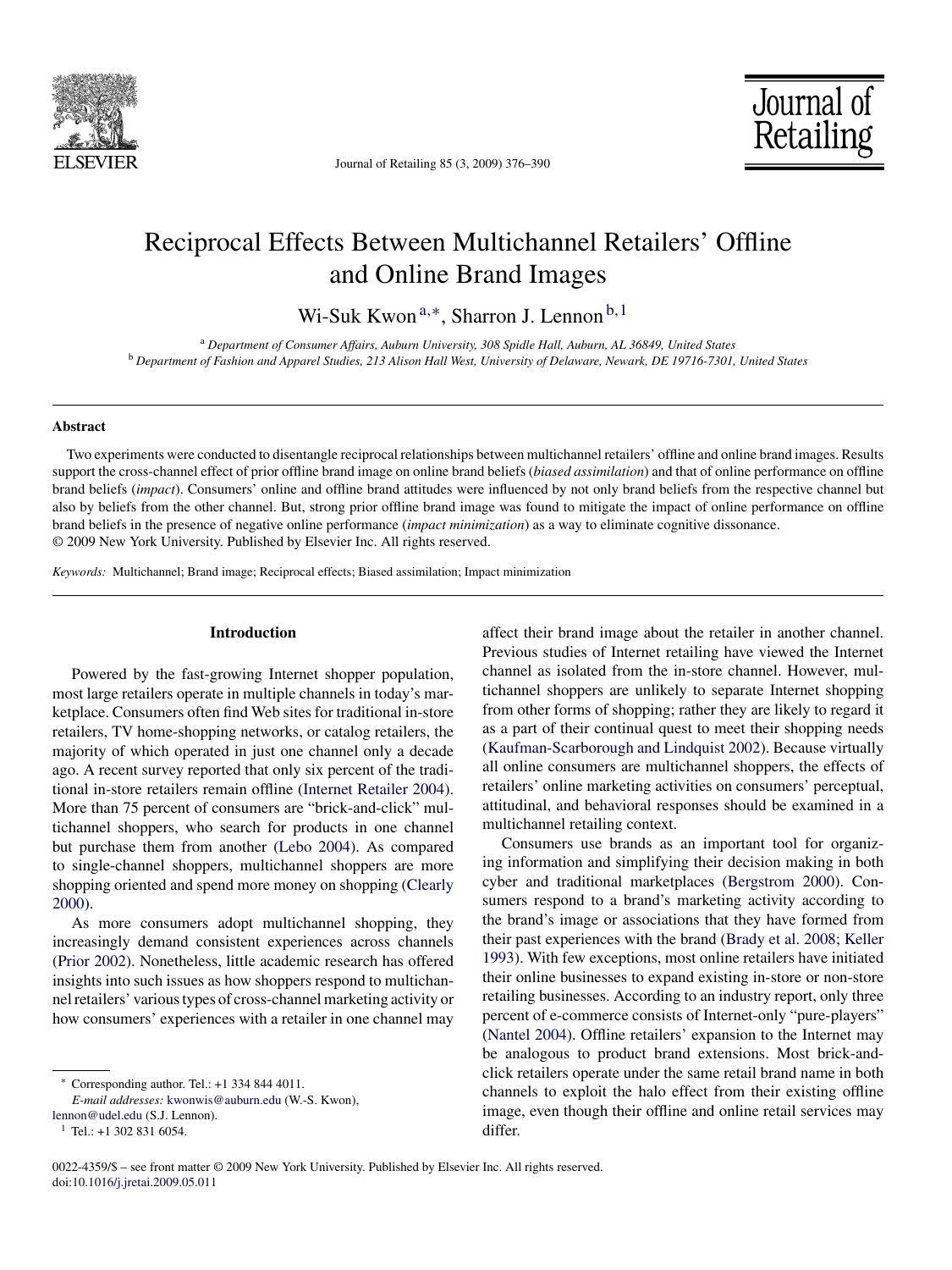

Journal of Retailing 85 (3, 2009) 376–390



# Reciprocal Effects Between Multichannel Retailers' Offline and Online Brand Images

Wi-Suk Kwon<sup>a,∗</sup>, Sharron J. Lennon<sup>b, 1</sup>

<sup>a</sup> *Department of Consumer Affairs, Auburn University, 308 Spidle Hall, Auburn, AL 36849, United States* <sup>b</sup> *Department of Fashion and Apparel Studies, 213 Alison Hall West, University of Delaware, Newark, DE 19716-7301, United States*

### **Abstract**

Two experiments were conducted to disentangle reciprocal relationships between multichannel retailers' offline and online brand images. Results support the cross-channel effect of prior offline brand image on online brand beliefs (*biased assimilation*) and that of online performance on offline brand beliefs (*impact*). Consumers' online and offline brand attitudes were influenced by not only brand beliefs from the respective channel but also by beliefs from the other channel. But, strong prior offline brand image was found to mitigate the impact of online performance on offline brand beliefs in the presence of negative online performance (*impact minimization*) as a way to eliminate cognitive dissonance. © 2009 New York University. Published by Elsevier Inc. All rights reserved.

*Keywords:* Multichannel; Brand image; Reciprocal effects; Biased assimilation; Impact minimization

## **Introduction**

Powered by the fast-growing Internet shopper population, most large retailers operate in multiple channels in today's marketplace. Consumers often find Web sites for traditional in-store retailers, TV home-shopping networks, or catalog retailers, the majority of which operated in just one channel only a decade ago. A recent survey reported that only six percent of the traditional in-store retailers remain offline ([Internet Retailer 2004\).](#page--1-0) More than 75 percent of consumers are "brick-and-click" multichannel shoppers, who search for products in one channel but purchase them from another ([Lebo 2004\).](#page--1-0) As compared to single-channel shoppers, multichannel shoppers are more shopping oriented and spend more money on shopping ([Clearly](#page--1-0) [2000\).](#page--1-0)

As more consumers adopt multichannel shopping, they increasingly demand consistent experiences across channels [\(Prior 2002\).](#page--1-0) Nonetheless, little academic research has offered insights into such issues as how shoppers respond to multichannel retailers' various types of cross-channel marketing activity or how consumers' experiences with a retailer in one channel may

affect their brand image about the retailer in another channel. Previous studies of Internet retailing have viewed the Internet channel as isolated from the in-store channel. However, multichannel shoppers are unlikely to separate Internet shopping from other forms of shopping; rather they are likely to regard it as a part of their continual quest to meet their shopping needs [\(Kaufman-Scarborough and Lindquist 2002\).](#page--1-0) Because virtually all online consumers are multichannel shoppers, the effects of retailers' online marketing activities on consumers' perceptual, attitudinal, and behavioral responses should be examined in a multichannel retailing context.

Consumers use brands as an important tool for organizing information and simplifying their decision making in both cyber and traditional marketplaces [\(Bergstrom 2000\).](#page--1-0) Consumers respond to a brand's marketing activity according to the brand's image or associations that they have formed from their past experiences with the brand [\(Brady et al. 2008; Keller](#page--1-0) [1993\).](#page--1-0) With few exceptions, most online retailers have initiated their online businesses to expand existing in-store or non-store retailing businesses. According to an industry report, only three percent of e-commerce consists of Internet-only "pure-players" [\(Nantel 2004\).](#page--1-0) Offline retailers' expansion to the Internet may be analogous to product brand extensions. Most brick-andclick retailers operate under the same retail brand name in both channels to exploit the halo effect from their existing offline image, even though their offline and online retail services may differ.

<sup>∗</sup> Corresponding author. Tel.: +1 334 844 4011.

*E-mail addresses:* [kwonwis@auburn.edu](mailto:kwonwis@auburn.edu) (W.-S. Kwon),

[lennon@udel.edu](mailto:lennon@udel.edu) (S.J. Lennon).

 $1$  Tel.: +1 302 831 6054.

<sup>0022-4359/\$ –</sup> see front matter © 2009 New York University. Published by Elsevier Inc. All rights reserved. doi[:10.1016/j.jretai.2009.05.011](dx.doi.org/10.1016/j.jretai.2009.05.011)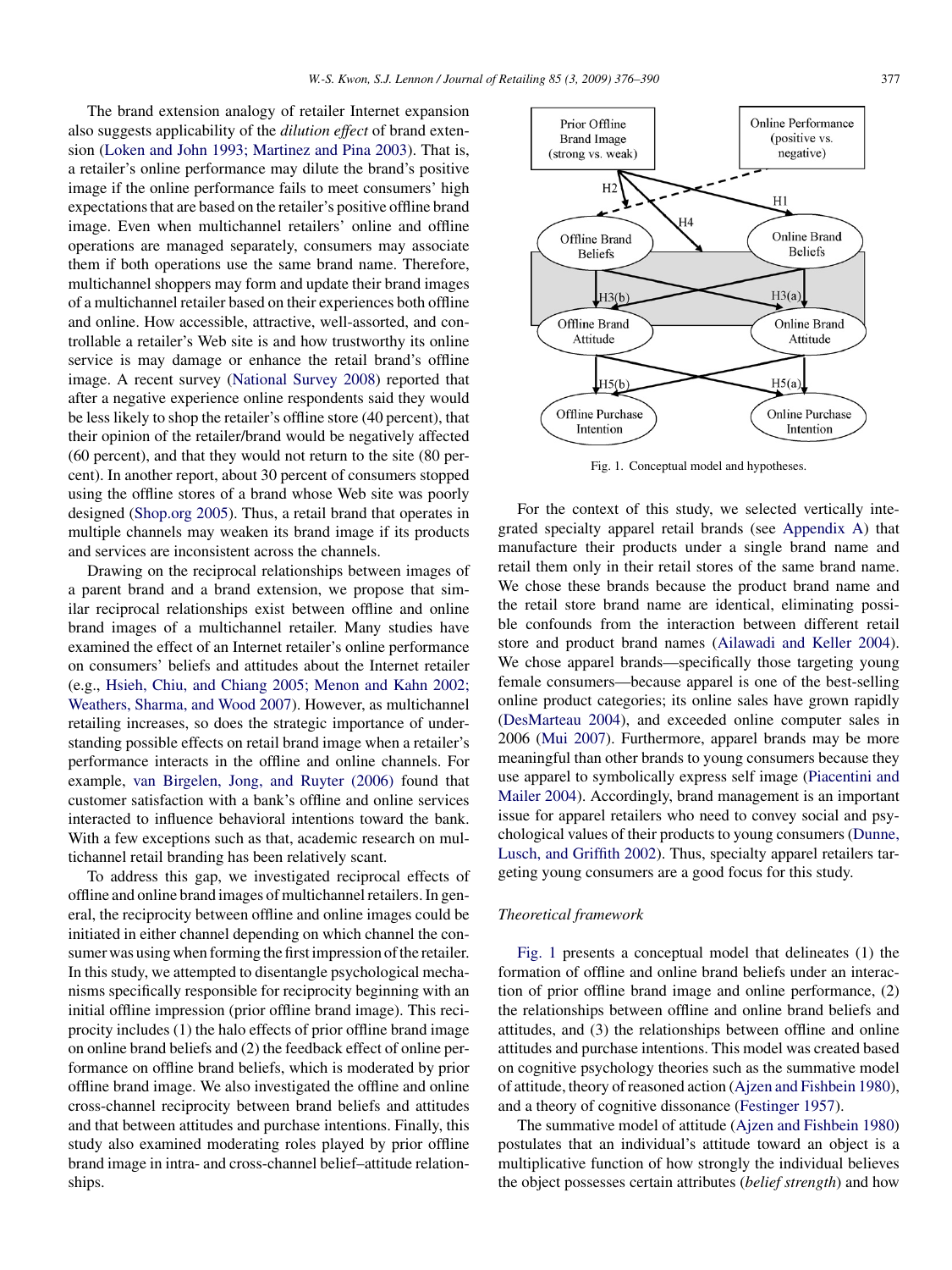The brand extension analogy of retailer Internet expansion also suggests applicability of the *dilution effect* of brand extension [\(Loken and John 1993; Martinez and Pina 2003\).](#page--1-0) That is, a retailer's online performance may dilute the brand's positive image if the online performance fails to meet consumers' high expectations that are based on the retailer's positive offline brand image. Even when multichannel retailers' online and offline operations are managed separately, consumers may associate them if both operations use the same brand name. Therefore, multichannel shoppers may form and update their brand images of a multichannel retailer based on their experiences both offline and online. How accessible, attractive, well-assorted, and controllable a retailer's Web site is and how trustworthy its online service is may damage or enhance the retail brand's offline image. A recent survey [\(National Survey 2008\)](#page--1-0) reported that after a negative experience online respondents said they would be less likely to shop the retailer's offline store (40 percent), that their opinion of the retailer/brand would be negatively affected (60 percent), and that they would not return to the site (80 percent). In another report, about 30 percent of consumers stopped using the offline stores of a brand whose Web site was poorly designed [\(Shop.org 2005\).](#page--1-0) Thus, a retail brand that operates in multiple channels may weaken its brand image if its products and services are inconsistent across the channels.

Drawing on the reciprocal relationships between images of a parent brand and a brand extension, we propose that similar reciprocal relationships exist between offline and online brand images of a multichannel retailer. Many studies have examined the effect of an Internet retailer's online performance on consumers' beliefs and attitudes about the Internet retailer (e.g., [Hsieh, Chiu, and Chiang 2005; Menon and Kahn 2002;](#page--1-0) [Weathers, Sharma, and Wood 2007\).](#page--1-0) However, as multichannel retailing increases, so does the strategic importance of understanding possible effects on retail brand image when a retailer's performance interacts in the offline and online channels. For example, [van Birgelen, Jong, and Ruyter \(2006\)](#page--1-0) found that customer satisfaction with a bank's offline and online services interacted to influence behavioral intentions toward the bank. With a few exceptions such as that, academic research on multichannel retail branding has been relatively scant.

To address this gap, we investigated reciprocal effects of offline and online brand images of multichannel retailers. In general, the reciprocity between offline and online images could be initiated in either channel depending on which channel the consumer was using when forming the first impression of the retailer. In this study, we attempted to disentangle psychological mechanisms specifically responsible for reciprocity beginning with an initial offline impression (prior offline brand image). This reciprocity includes (1) the halo effects of prior offline brand image on online brand beliefs and (2) the feedback effect of online performance on offline brand beliefs, which is moderated by prior offline brand image. We also investigated the offline and online cross-channel reciprocity between brand beliefs and attitudes and that between attitudes and purchase intentions. Finally, this study also examined moderating roles played by prior offline brand image in intra- and cross-channel belief–attitude relationships.



Fig. 1. Conceptual model and hypotheses.

For the context of this study, we selected vertically integrated specialty apparel retail brands (see [Appendix A\)](#page--1-0) that manufacture their products under a single brand name and retail them only in their retail stores of the same brand name. We chose these brands because the product brand name and the retail store brand name are identical, eliminating possible confounds from the interaction between different retail store and product brand names ([Ailawadi and Keller 2004\).](#page--1-0) We chose apparel brands—specifically those targeting young female consumers—because apparel is one of the best-selling online product categories; its online sales have grown rapidly ([DesMarteau 2004\),](#page--1-0) and exceeded online computer sales in 2006 ([Mui 2007\).](#page--1-0) Furthermore, apparel brands may be more meaningful than other brands to young consumers because they use apparel to symbolically express self image ([Piacentini and](#page--1-0) [Mailer 2004\).](#page--1-0) Accordingly, brand management is an important issue for apparel retailers who need to convey social and psychological values of their products to young consumers ([Dunne,](#page--1-0) [Lusch, and Griffith 2002\).](#page--1-0) Thus, specialty apparel retailers targeting young consumers are a good focus for this study.

### *Theoretical framework*

Fig. 1 presents a conceptual model that delineates (1) the formation of offline and online brand beliefs under an interaction of prior offline brand image and online performance, (2) the relationships between offline and online brand beliefs and attitudes, and (3) the relationships between offline and online attitudes and purchase intentions. This model was created based on cognitive psychology theories such as the summative model of attitude, theory of reasoned action [\(Ajzen and Fishbein 1980\),](#page--1-0) and a theory of cognitive dissonance ([Festinger 1957\).](#page--1-0)

The summative model of attitude [\(Ajzen and Fishbein 1980\)](#page--1-0) postulates that an individual's attitude toward an object is a multiplicative function of how strongly the individual believes the object possesses certain attributes (*belief strength*) and how